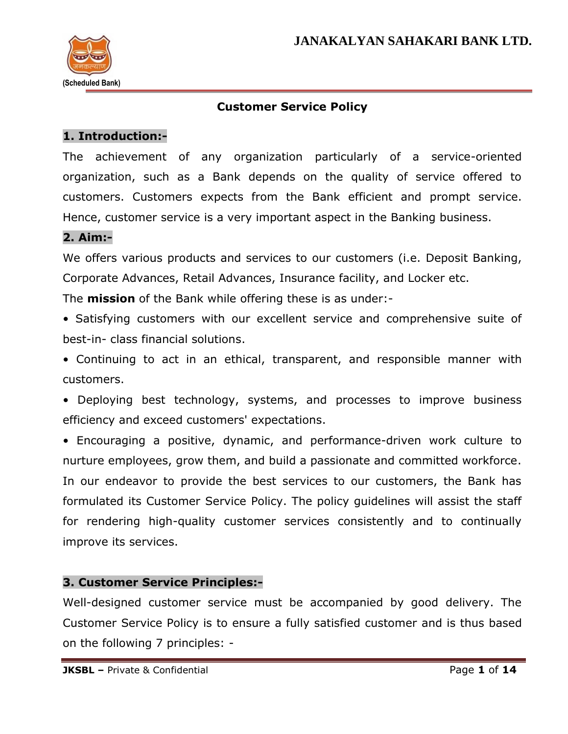

## **Customer Service Policy**

### **1. Introduction:-**

The achievement of any organization particularly of a service-oriented organization, such as a Bank depends on the quality of service offered to customers. Customers expects from the Bank efficient and prompt service. Hence, customer service is a very important aspect in the Banking business.

### **2. Aim:-**

We offers various products and services to our customers (i.e. Deposit Banking, Corporate Advances, Retail Advances, Insurance facility, and Locker etc.

The **mission** of the Bank while offering these is as under:-

- Satisfying customers with our excellent service and comprehensive suite of best-in- class financial solutions.
- Continuing to act in an ethical, transparent, and responsible manner with customers.
- Deploying best technology, systems, and processes to improve business efficiency and exceed customers' expectations.

• Encouraging a positive, dynamic, and performance-driven work culture to nurture employees, grow them, and build a passionate and committed workforce. In our endeavor to provide the best services to our customers, the Bank has formulated its Customer Service Policy. The policy guidelines will assist the staff for rendering high-quality customer services consistently and to continually improve its services.

### **3. Customer Service Principles:-**

Well-designed customer service must be accompanied by good delivery. The Customer Service Policy is to ensure a fully satisfied customer and is thus based on the following 7 principles: -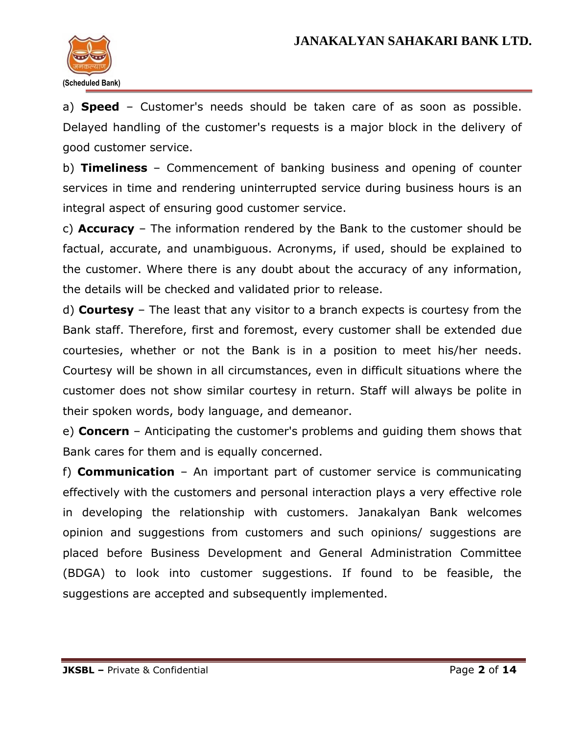

a) **Speed** – Customer's needs should be taken care of as soon as possible. Delayed handling of the customer's requests is a major block in the delivery of good customer service.

b) **Timeliness** – Commencement of banking business and opening of counter services in time and rendering uninterrupted service during business hours is an integral aspect of ensuring good customer service.

c) **Accuracy** – The information rendered by the Bank to the customer should be factual, accurate, and unambiguous. Acronyms, if used, should be explained to the customer. Where there is any doubt about the accuracy of any information, the details will be checked and validated prior to release.

d) **Courtesy** – The least that any visitor to a branch expects is courtesy from the Bank staff. Therefore, first and foremost, every customer shall be extended due courtesies, whether or not the Bank is in a position to meet his/her needs. Courtesy will be shown in all circumstances, even in difficult situations where the customer does not show similar courtesy in return. Staff will always be polite in their spoken words, body language, and demeanor.

e) **Concern** – Anticipating the customer's problems and guiding them shows that Bank cares for them and is equally concerned.

f) **Communication** – An important part of customer service is communicating effectively with the customers and personal interaction plays a very effective role in developing the relationship with customers. Janakalyan Bank welcomes opinion and suggestions from customers and such opinions/ suggestions are placed before Business Development and General Administration Committee (BDGA) to look into customer suggestions. If found to be feasible, the suggestions are accepted and subsequently implemented.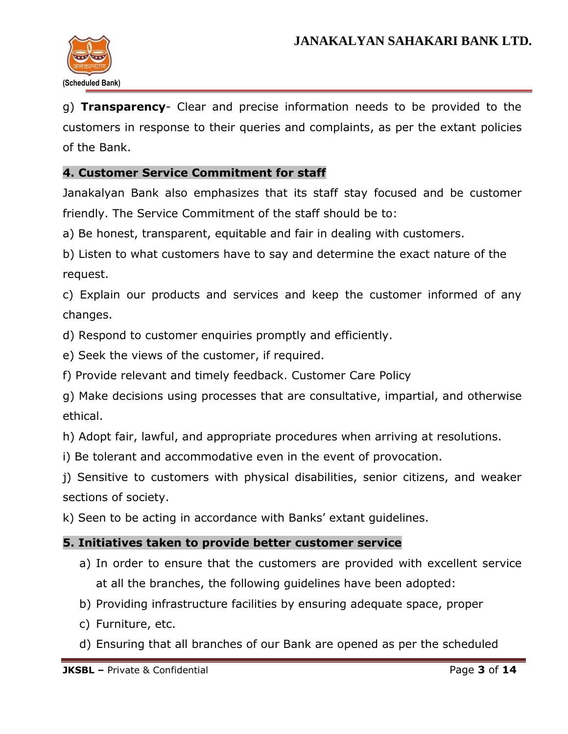

g) **Transparency**- Clear and precise information needs to be provided to the customers in response to their queries and complaints, as per the extant policies of the Bank.

### **4. Customer Service Commitment for staff**

Janakalyan Bank also emphasizes that its staff stay focused and be customer friendly. The Service Commitment of the staff should be to:

a) Be honest, transparent, equitable and fair in dealing with customers.

b) Listen to what customers have to say and determine the exact nature of the request.

c) Explain our products and services and keep the customer informed of any changes.

- d) Respond to customer enquiries promptly and efficiently.
- e) Seek the views of the customer, if required.
- f) Provide relevant and timely feedback. Customer Care Policy

g) Make decisions using processes that are consultative, impartial, and otherwise ethical.

h) Adopt fair, lawful, and appropriate procedures when arriving at resolutions.

i) Be tolerant and accommodative even in the event of provocation.

j) Sensitive to customers with physical disabilities, senior citizens, and weaker sections of society.

k) Seen to be acting in accordance with Banks' extant guidelines.

### **5. Initiatives taken to provide better customer service**

- a) In order to ensure that the customers are provided with excellent service at all the branches, the following guidelines have been adopted:
- b) Providing infrastructure facilities by ensuring adequate space, proper
- c) Furniture, etc.
- d) Ensuring that all branches of our Bank are opened as per the scheduled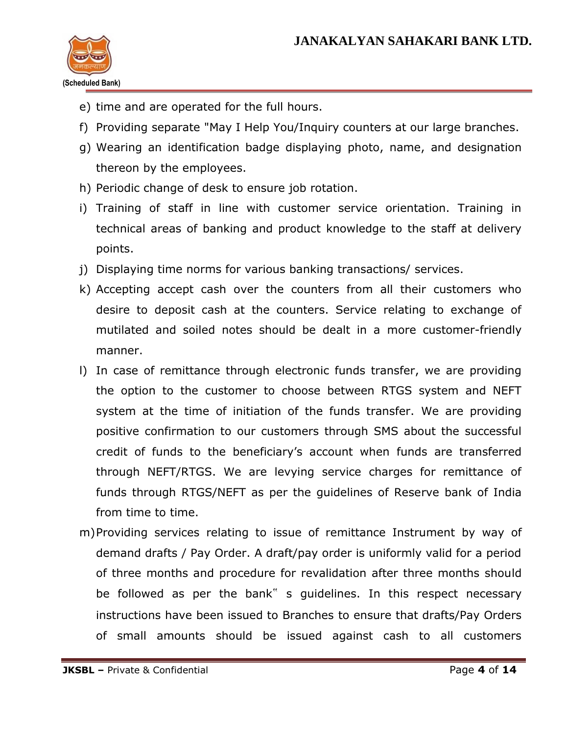

- e) time and are operated for the full hours.
- f) Providing separate "May I Help You/Inquiry counters at our large branches.
- g) Wearing an identification badge displaying photo, name, and designation thereon by the employees.
- h) Periodic change of desk to ensure job rotation.
- i) Training of staff in line with customer service orientation. Training in technical areas of banking and product knowledge to the staff at delivery points.
- j) Displaying time norms for various banking transactions/ services.
- k) Accepting accept cash over the counters from all their customers who desire to deposit cash at the counters. Service relating to exchange of mutilated and soiled notes should be dealt in a more customer-friendly manner.
- l) In case of remittance through electronic funds transfer, we are providing the option to the customer to choose between RTGS system and NEFT system at the time of initiation of the funds transfer. We are providing positive confirmation to our customers through SMS about the successful credit of funds to the beneficiary's account when funds are transferred through NEFT/RTGS. We are levying service charges for remittance of funds through RTGS/NEFT as per the guidelines of Reserve bank of India from time to time.
- m)Providing services relating to issue of remittance Instrument by way of demand drafts / Pay Order. A draft/pay order is uniformly valid for a period of three months and procedure for revalidation after three months should be followed as per the bank" s guidelines. In this respect necessary instructions have been issued to Branches to ensure that drafts/Pay Orders of small amounts should be issued against cash to all customers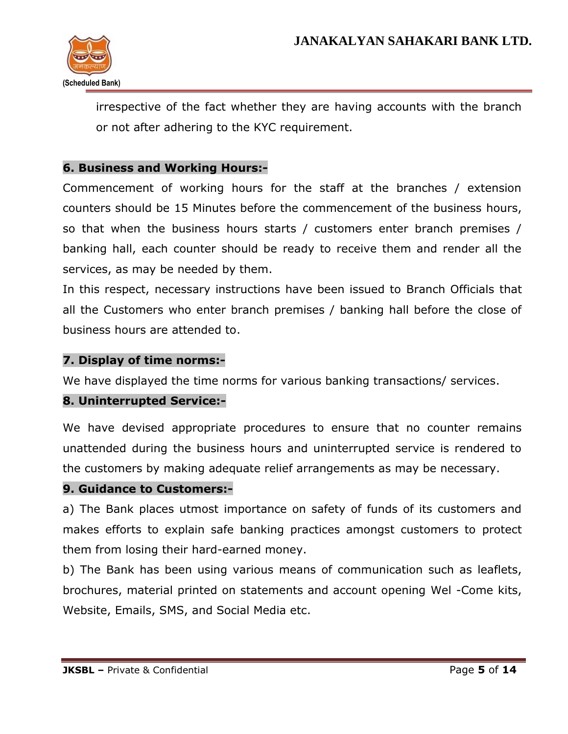

irrespective of the fact whether they are having accounts with the branch or not after adhering to the KYC requirement.

### **6. Business and Working Hours:-**

Commencement of working hours for the staff at the branches / extension counters should be 15 Minutes before the commencement of the business hours, so that when the business hours starts / customers enter branch premises / banking hall, each counter should be ready to receive them and render all the services, as may be needed by them.

In this respect, necessary instructions have been issued to Branch Officials that all the Customers who enter branch premises / banking hall before the close of business hours are attended to.

### **7. Display of time norms:-**

We have displayed the time norms for various banking transactions/ services.

### **8. Uninterrupted Service:-**

We have devised appropriate procedures to ensure that no counter remains unattended during the business hours and uninterrupted service is rendered to the customers by making adequate relief arrangements as may be necessary.

### **9. Guidance to Customers:-**

a) The Bank places utmost importance on safety of funds of its customers and makes efforts to explain safe banking practices amongst customers to protect them from losing their hard-earned money.

b) The Bank has been using various means of communication such as leaflets, brochures, material printed on statements and account opening Wel -Come kits, Website, Emails, SMS, and Social Media etc.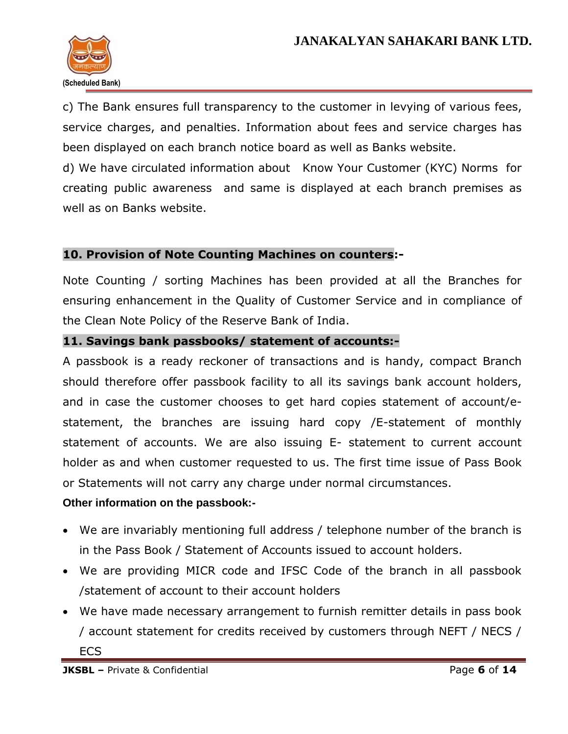

c) The Bank ensures full transparency to the customer in levying of various fees, service charges, and penalties. Information about fees and service charges has been displayed on each branch notice board as well as Banks website.

d) We have circulated information about Know Your Customer (KYC) Norms for creating public awareness and same is displayed at each branch premises as well as on Banks website.

### **10. Provision of Note Counting Machines on counters:-**

Note Counting / sorting Machines has been provided at all the Branches for ensuring enhancement in the Quality of Customer Service and in compliance of the Clean Note Policy of the Reserve Bank of India.

### **11. Savings bank passbooks/ statement of accounts:-**

A passbook is a ready reckoner of transactions and is handy, compact Branch should therefore offer passbook facility to all its savings bank account holders, and in case the customer chooses to get hard copies statement of account/estatement, the branches are issuing hard copy /E-statement of monthly statement of accounts. We are also issuing E- statement to current account holder as and when customer requested to us. The first time issue of Pass Book or Statements will not carry any charge under normal circumstances.

### **Other information on the passbook:-**

- We are invariably mentioning full address / telephone number of the branch is in the Pass Book / Statement of Accounts issued to account holders.
- We are providing MICR code and IFSC Code of the branch in all passbook /statement of account to their account holders
- We have made necessary arrangement to furnish remitter details in pass book / account statement for credits received by customers through NEFT / NECS / **ECS**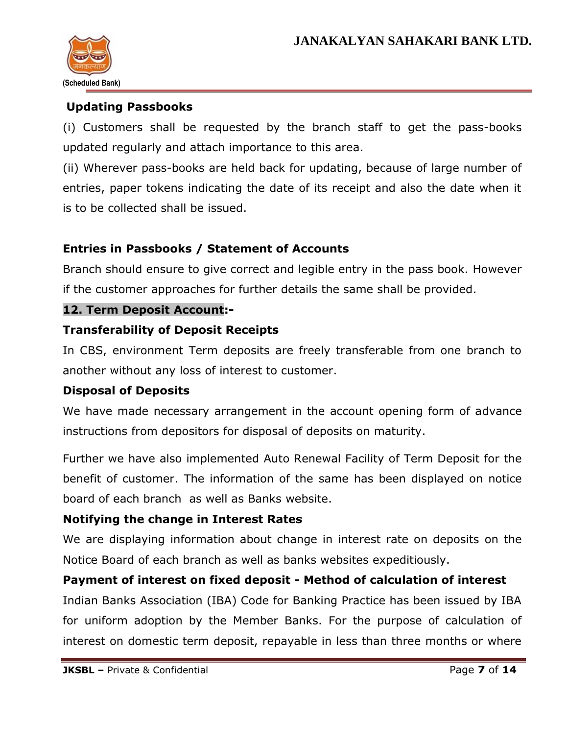

## **Updating Passbooks**

(i) Customers shall be requested by the branch staff to get the pass-books updated regularly and attach importance to this area.

(ii) Wherever pass-books are held back for updating, because of large number of entries, paper tokens indicating the date of its receipt and also the date when it is to be collected shall be issued.

## **Entries in Passbooks / Statement of Accounts**

Branch should ensure to give correct and legible entry in the pass book. However if the customer approaches for further details the same shall be provided.

### **12. Term Deposit Account:-**

### **Transferability of Deposit Receipts**

In CBS, environment Term deposits are freely transferable from one branch to another without any loss of interest to customer.

### **Disposal of Deposits**

We have made necessary arrangement in the account opening form of advance instructions from depositors for disposal of deposits on maturity.

Further we have also implemented Auto Renewal Facility of Term Deposit for the benefit of customer. The information of the same has been displayed on notice board of each branch as well as Banks website.

## **Notifying the change in Interest Rates**

We are displaying information about change in interest rate on deposits on the Notice Board of each branch as well as banks websites expeditiously.

### **Payment of interest on fixed deposit - Method of calculation of interest**

Indian Banks Association (IBA) Code for Banking Practice has been issued by IBA for uniform adoption by the Member Banks. For the purpose of calculation of interest on domestic term deposit, repayable in less than three months or where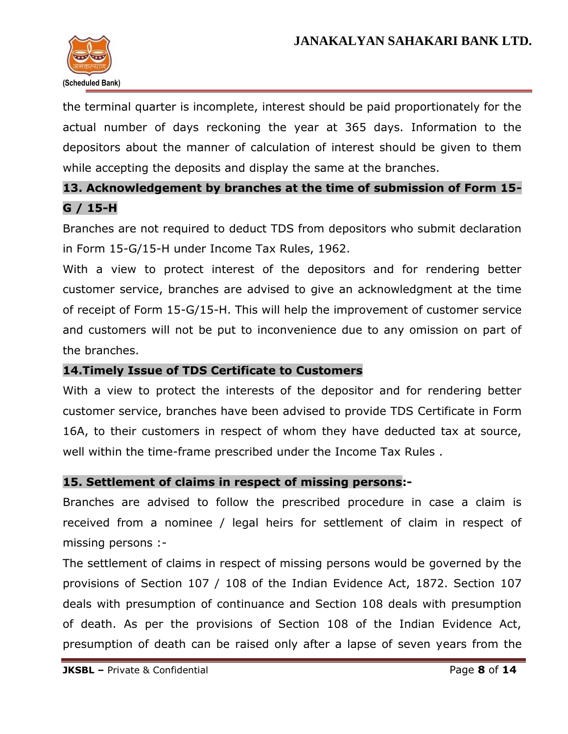

the terminal quarter is incomplete, interest should be paid proportionately for the actual number of days reckoning the year at 365 days. Information to the depositors about the manner of calculation of interest should be given to them while accepting the deposits and display the same at the branches.

## **13. Acknowledgement by branches at the time of submission of Form 15- G / 15-H**

Branches are not required to deduct TDS from depositors who submit declaration in Form 15-G/15-H under Income Tax Rules, 1962.

With a view to protect interest of the depositors and for rendering better customer service, branches are advised to give an acknowledgment at the time of receipt of Form 15-G/15-H. This will help the improvement of customer service and customers will not be put to inconvenience due to any omission on part of the branches.

### **14.Timely Issue of TDS Certificate to Customers**

With a view to protect the interests of the depositor and for rendering better customer service, branches have been advised to provide TDS Certificate in Form 16A, to their customers in respect of whom they have deducted tax at source, well within the time-frame prescribed under the Income Tax Rules .

### **15. Settlement of claims in respect of missing persons:-**

Branches are advised to follow the prescribed procedure in case a claim is received from a nominee / legal heirs for settlement of claim in respect of missing persons :-

The settlement of claims in respect of missing persons would be governed by the provisions of Section 107 / 108 of the Indian Evidence Act, 1872. Section 107 deals with presumption of continuance and Section 108 deals with presumption of death. As per the provisions of Section 108 of the Indian Evidence Act, presumption of death can be raised only after a lapse of seven years from the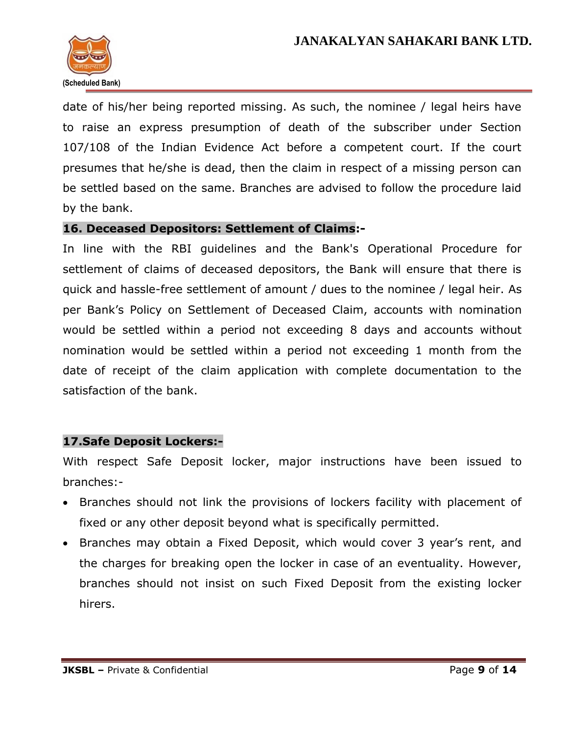

date of his/her being reported missing. As such, the nominee / legal heirs have to raise an express presumption of death of the subscriber under Section 107/108 of the Indian Evidence Act before a competent court. If the court presumes that he/she is dead, then the claim in respect of a missing person can be settled based on the same. Branches are advised to follow the procedure laid by the bank.

### **16. Deceased Depositors: Settlement of Claims:-**

In line with the RBI guidelines and the Bank's Operational Procedure for settlement of claims of deceased depositors, the Bank will ensure that there is quick and hassle-free settlement of amount / dues to the nominee / legal heir. As per Bank's Policy on Settlement of Deceased Claim, accounts with nomination would be settled within a period not exceeding 8 days and accounts without nomination would be settled within a period not exceeding 1 month from the date of receipt of the claim application with complete documentation to the satisfaction of the bank.

### **17.Safe Deposit Lockers:-**

With respect Safe Deposit locker, major instructions have been issued to branches:-

- Branches should not link the provisions of lockers facility with placement of fixed or any other deposit beyond what is specifically permitted.
- Branches may obtain a Fixed Deposit, which would cover 3 year's rent, and the charges for breaking open the locker in case of an eventuality. However, branches should not insist on such Fixed Deposit from the existing locker hirers.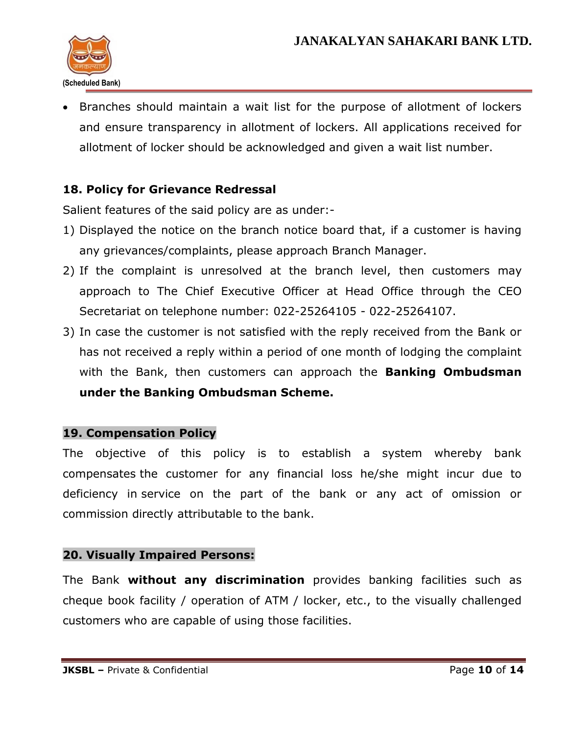

 Branches should maintain a wait list for the purpose of allotment of lockers and ensure transparency in allotment of lockers. All applications received for allotment of locker should be acknowledged and given a wait list number.

## **18. Policy for Grievance Redressal**

Salient features of the said policy are as under:-

- 1) Displayed the notice on the branch notice board that, if a customer is having any grievances/complaints, please approach Branch Manager.
- 2) If the complaint is unresolved at the branch level, then customers may approach to The Chief Executive Officer at Head Office through the CEO Secretariat on telephone number: 022-25264105 - 022-25264107.
- 3) In case the customer is not satisfied with the reply received from the Bank or has not received a reply within a period of one month of lodging the complaint with the Bank, then customers can approach the **Banking Ombudsman under the Banking Ombudsman Scheme.**

### **19. Compensation Policy**

The objective of this policy is to establish a system whereby bank compensates the customer for any financial loss he/she might incur due to deficiency in service on the part of the bank or any act of omission or commission directly attributable to the bank.

### **20. Visually Impaired Persons:**

The Bank **without any discrimination** provides banking facilities such as cheque book facility / operation of ATM / locker, etc., to the visually challenged customers who are capable of using those facilities.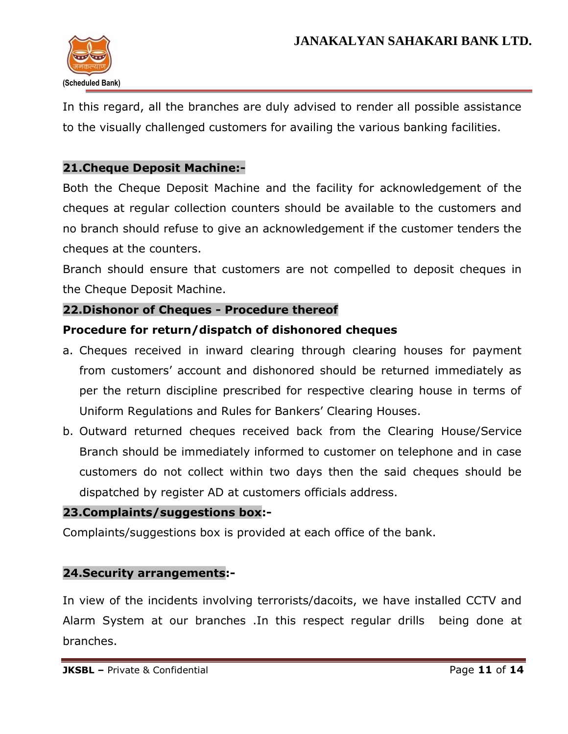

In this regard, all the branches are duly advised to render all possible assistance to the visually challenged customers for availing the various banking facilities.

### **21.Cheque Deposit Machine:-**

Both the Cheque Deposit Machine and the facility for acknowledgement of the cheques at regular collection counters should be available to the customers and no branch should refuse to give an acknowledgement if the customer tenders the cheques at the counters.

Branch should ensure that customers are not compelled to deposit cheques in the Cheque Deposit Machine.

### **22.Dishonor of Cheques - Procedure thereof**

### **Procedure for return/dispatch of dishonored cheques**

- a. Cheques received in inward clearing through clearing houses for payment from customers' account and dishonored should be returned immediately as per the return discipline prescribed for respective clearing house in terms of Uniform Regulations and Rules for Bankers' Clearing Houses.
- b. Outward returned cheques received back from the Clearing House/Service Branch should be immediately informed to customer on telephone and in case customers do not collect within two days then the said cheques should be dispatched by register AD at customers officials address.

### **23.Complaints/suggestions box:-**

Complaints/suggestions box is provided at each office of the bank.

### **24.Security arrangements:-**

In view of the incidents involving terrorists/dacoits, we have installed CCTV and Alarm System at our branches .In this respect regular drills being done at branches.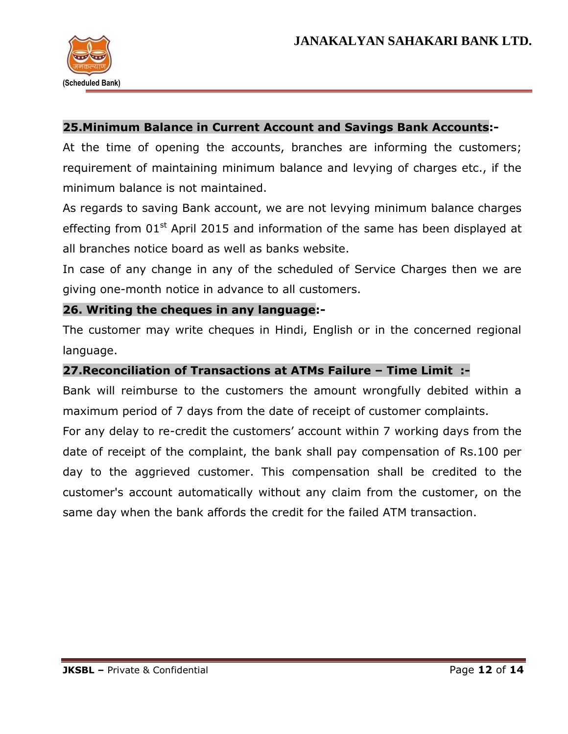

### **25.Minimum Balance in Current Account and Savings Bank Accounts:-**

At the time of opening the accounts, branches are informing the customers; requirement of maintaining minimum balance and levying of charges etc., if the minimum balance is not maintained.

As regards to saving Bank account, we are not levying minimum balance charges effecting from  $01<sup>st</sup>$  April 2015 and information of the same has been displayed at all branches notice board as well as banks website.

In case of any change in any of the scheduled of Service Charges then we are giving one-month notice in advance to all customers.

### **26. Writing the cheques in any language:-**

The customer may write cheques in Hindi, English or in the concerned regional language.

### **27.Reconciliation of Transactions at ATMs Failure – Time Limit :-**

Bank will reimburse to the customers the amount wrongfully debited within a maximum period of 7 days from the date of receipt of customer complaints. For any delay to re-credit the customers' account within 7 working days from the date of receipt of the complaint, the bank shall pay compensation of Rs.100 per day to the aggrieved customer. This compensation shall be credited to the customer's account automatically without any claim from the customer, on the same day when the bank affords the credit for the failed ATM transaction.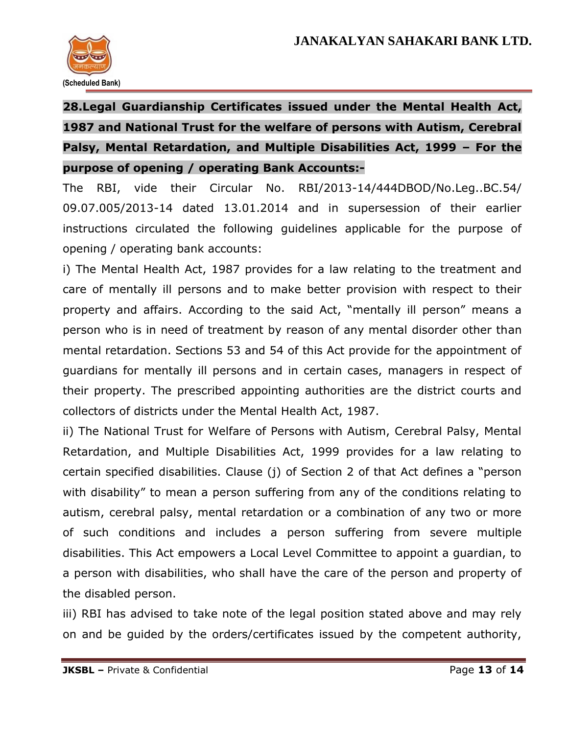

# **28.Legal Guardianship Certificates issued under the Mental Health Act, 1987 and National Trust for the welfare of persons with Autism, Cerebral Palsy, Mental Retardation, and Multiple Disabilities Act, 1999 – For the purpose of opening / operating Bank Accounts:-**

The RBI, vide their Circular No. RBI/2013-14/444DBOD/No.Leg..BC.54/ 09.07.005/2013-14 dated 13.01.2014 and in supersession of their earlier instructions circulated the following guidelines applicable for the purpose of opening / operating bank accounts:

i) The Mental Health Act, 1987 provides for a law relating to the treatment and care of mentally ill persons and to make better provision with respect to their property and affairs. According to the said Act, "mentally ill person" means a person who is in need of treatment by reason of any mental disorder other than mental retardation. Sections 53 and 54 of this Act provide for the appointment of guardians for mentally ill persons and in certain cases, managers in respect of their property. The prescribed appointing authorities are the district courts and collectors of districts under the Mental Health Act, 1987.

ii) The National Trust for Welfare of Persons with Autism, Cerebral Palsy, Mental Retardation, and Multiple Disabilities Act, 1999 provides for a law relating to certain specified disabilities. Clause (j) of Section 2 of that Act defines a "person with disability" to mean a person suffering from any of the conditions relating to autism, cerebral palsy, mental retardation or a combination of any two or more of such conditions and includes a person suffering from severe multiple disabilities. This Act empowers a Local Level Committee to appoint a guardian, to a person with disabilities, who shall have the care of the person and property of the disabled person.

iii) RBI has advised to take note of the legal position stated above and may rely on and be guided by the orders/certificates issued by the competent authority,